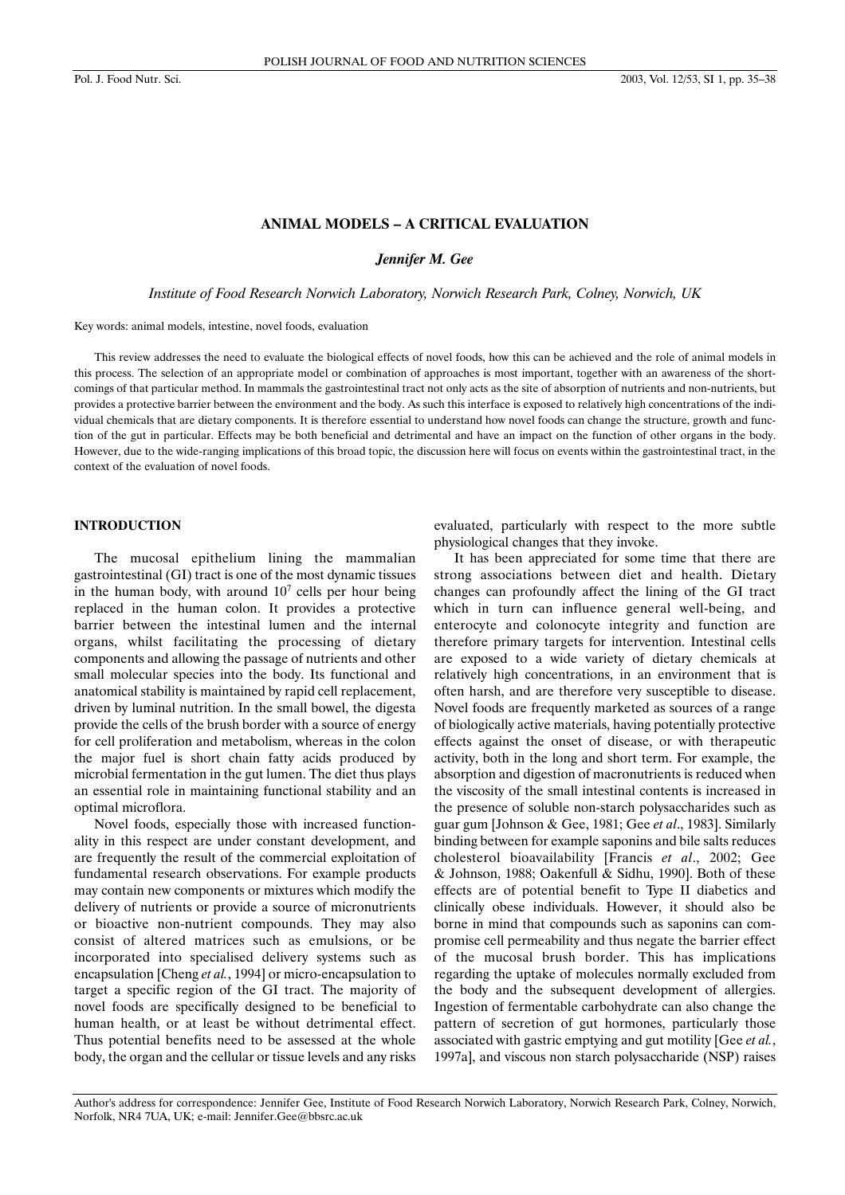# **ANIMAL MODELS – A CRITICAL EVALUATION**

*Jennifer M. Gee*

*Institute of Food Research Norwich Laboratory, Norwich Research Park, Colney, Norwich, UK*

Key words: animal models, intestine, novel foods, evaluation

This review addresses the need to evaluate the biological effects of novel foods, how this can be achieved and the role of animal models in this process. The selection of an appropriate model or combination of approaches is most important, together with an awareness of the shortcomings of that particular method. In mammals the gastrointestinal tract not only acts as the site of absorption of nutrients and non-nutrients, but provides a protective barrier between the environment and the body. As such this interface is exposed to relatively high concentrations of the individual chemicals that are dietary components. It is therefore essential to understand how novel foods can change the structure, growth and function of the gut in particular. Effects may be both beneficial and detrimental and have an impact on the function of other organs in the body. However, due to the wide-ranging implications of this broad topic, the discussion here will focus on events within the gastrointestinal tract, in the context of the evaluation of novel foods.

#### **INTRODUCTION**

The mucosal epithelium lining the mammalian gastrointestinal (GI) tract is one of the most dynamic tissues in the human body, with around  $10<sup>7</sup>$  cells per hour being replaced in the human colon. It provides a protective barrier between the intestinal lumen and the internal organs, whilst facilitating the processing of dietary components and allowing the passage of nutrients and other small molecular species into the body. Its functional and anatomical stability is maintained by rapid cell replacement, driven by luminal nutrition. In the small bowel, the digesta provide the cells of the brush border with a source of energy for cell proliferation and metabolism, whereas in the colon the major fuel is short chain fatty acids produced by microbial fermentation in the gut lumen. The diet thus plays an essential role in maintaining functional stability and an optimal microflora.

Novel foods, especially those with increased functionality in this respect are under constant development, and are frequently the result of the commercial exploitation of fundamental research observations. For example products may contain new components or mixtures which modify the delivery of nutrients or provide a source of micronutrients or bioactive non-nutrient compounds. They may also consist of altered matrices such as emulsions, or be incorporated into specialised delivery systems such as encapsulation [Cheng *et al.*, 1994] or micro-encapsulation to target a specific region of the GI tract. The majority of novel foods are specifically designed to be beneficial to human health, or at least be without detrimental effect. Thus potential benefits need to be assessed at the whole body, the organ and the cellular or tissue levels and any risks evaluated, particularly with respect to the more subtle physiological changes that they invoke.

It has been appreciated for some time that there are strong associations between diet and health. Dietary changes can profoundly affect the lining of the GI tract which in turn can influence general well-being, and enterocyte and colonocyte integrity and function are therefore primary targets for intervention. Intestinal cells are exposed to a wide variety of dietary chemicals at relatively high concentrations, in an environment that is often harsh, and are therefore very susceptible to disease. Novel foods are frequently marketed as sources of a range of biologically active materials, having potentially protective effects against the onset of disease, or with therapeutic activity, both in the long and short term. For example, the absorption and digestion of macronutrients is reduced when the viscosity of the small intestinal contents is increased in the presence of soluble non-starch polysaccharides such as guar gum [Johnson & Gee, 1981; Gee *et al*., 1983]. Similarly binding between for example saponins and bile salts reduces cholesterol bioavailability [Francis *et al*., 2002; Gee & Johnson, 1988; Oakenfull & Sidhu, 1990]. Both of these effects are of potential benefit to Type II diabetics and clinically obese individuals. However, it should also be borne in mind that compounds such as saponins can compromise cell permeability and thus negate the barrier effect of the mucosal brush border. This has implications regarding the uptake of molecules normally excluded from the body and the subsequent development of allergies. Ingestion of fermentable carbohydrate can also change the pattern of secretion of gut hormones, particularly those associated with gastric emptying and gut motility [Gee *et al.*, 1997a], and viscous non starch polysaccharide (NSP) raises

Author's address for correspondence: Jennifer Gee, Institute of Food Research Norwich Laboratory, Norwich Research Park, Colney, Norwich, Norfolk, NR4 7UA, UK; e-mail: Jennifer.Gee@bbsrc.ac.uk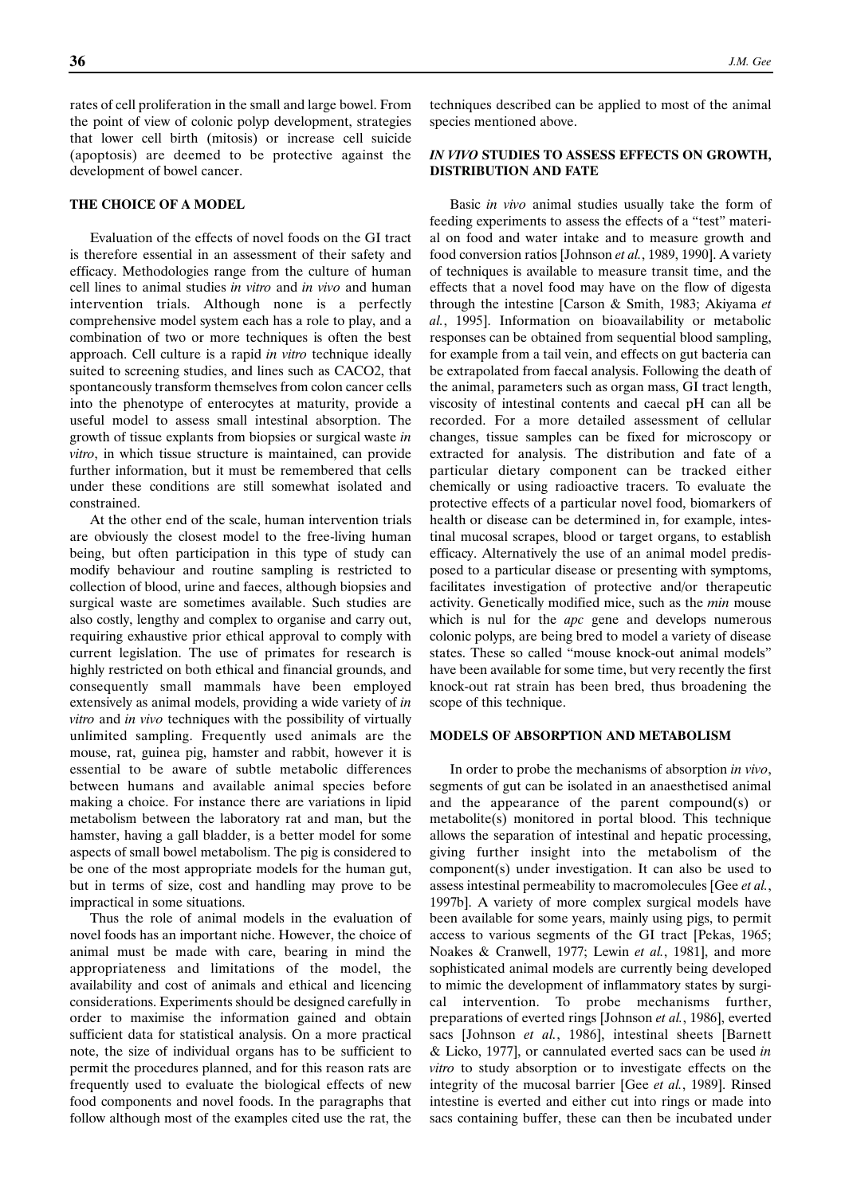rates of cell proliferation in the small and large bowel. From the point of view of colonic polyp development, strategies that lower cell birth (mitosis) or increase cell suicide (apoptosis) are deemed to be protective against the development of bowel cancer.

#### **THE CHOICE OF A MODEL**

Evaluation of the effects of novel foods on the GI tract is therefore essential in an assessment of their safety and efficacy. Methodologies range from the culture of human cell lines to animal studies *in vitro* and *in vivo* and human intervention trials. Although none is a perfectly comprehensive model system each has a role to play, and a combination of two or more techniques is often the best approach. Cell culture is a rapid *in vitro* technique ideally suited to screening studies, and lines such as CACO2, that spontaneously transform themselves from colon cancer cells into the phenotype of enterocytes at maturity, provide a useful model to assess small intestinal absorption. The growth of tissue explants from biopsies or surgical waste *in vitro*, in which tissue structure is maintained, can provide further information, but it must be remembered that cells under these conditions are still somewhat isolated and constrained.

At the other end of the scale, human intervention trials are obviously the closest model to the free-living human being, but often participation in this type of study can modify behaviour and routine sampling is restricted to collection of blood, urine and faeces, although biopsies and surgical waste are sometimes available. Such studies are also costly, lengthy and complex to organise and carry out, requiring exhaustive prior ethical approval to comply with current legislation. The use of primates for research is highly restricted on both ethical and financial grounds, and consequently small mammals have been employed extensively as animal models, providing a wide variety of *in vitro* and *in vivo* techniques with the possibility of virtually unlimited sampling. Frequently used animals are the mouse, rat, guinea pig, hamster and rabbit, however it is essential to be aware of subtle metabolic differences between humans and available animal species before making a choice. For instance there are variations in lipid metabolism between the laboratory rat and man, but the hamster, having a gall bladder, is a better model for some aspects of small bowel metabolism. The pig is considered to be one of the most appropriate models for the human gut, but in terms of size, cost and handling may prove to be impractical in some situations.

Thus the role of animal models in the evaluation of novel foods has an important niche. However, the choice of animal must be made with care, bearing in mind the appropriateness and limitations of the model, the availability and cost of animals and ethical and licencing considerations. Experiments should be designed carefully in order to maximise the information gained and obtain sufficient data for statistical analysis. On a more practical note, the size of individual organs has to be sufficient to permit the procedures planned, and for this reason rats are frequently used to evaluate the biological effects of new food components and novel foods. In the paragraphs that follow although most of the examples cited use the rat, the

techniques described can be applied to most of the animal species mentioned above.

### *IN VIVO* **STUDIES TO ASSESS EFFECTS ON GROWTH, DISTRIBUTION AND FATE**

Basic *in vivo* animal studies usually take the form of feeding experiments to assess the effects of a "test" material on food and water intake and to measure growth and food conversion ratios [Johnson *et al.*, 1989, 1990]. A variety of techniques is available to measure transit time, and the effects that a novel food may have on the flow of digesta through the intestine [Carson & Smith, 1983; Akiyama *et al.*, 1995]. Information on bioavailability or metabolic responses can be obtained from sequential blood sampling, for example from a tail vein, and effects on gut bacteria can be extrapolated from faecal analysis. Following the death of the animal, parameters such as organ mass, GI tract length, viscosity of intestinal contents and caecal pH can all be recorded. For a more detailed assessment of cellular changes, tissue samples can be fixed for microscopy or extracted for analysis. The distribution and fate of a particular dietary component can be tracked either chemically or using radioactive tracers. To evaluate the protective effects of a particular novel food, biomarkers of health or disease can be determined in, for example, intestinal mucosal scrapes, blood or target organs, to establish efficacy. Alternatively the use of an animal model predisposed to a particular disease or presenting with symptoms, facilitates investigation of protective and/or therapeutic activity. Genetically modified mice, such as the *min* mouse which is nul for the *apc* gene and develops numerous colonic polyps, are being bred to model a variety of disease states. These so called "mouse knock-out animal models" have been available for some time, but very recently the first knock-out rat strain has been bred, thus broadening the scope of this technique.

#### **MODELS OF ABSORPTION AND METABOLISM**

In order to probe the mechanisms of absorption *in vivo*, segments of gut can be isolated in an anaesthetised animal and the appearance of the parent compound(s) or metabolite(s) monitored in portal blood. This technique allows the separation of intestinal and hepatic processing, giving further insight into the metabolism of the component(s) under investigation. It can also be used to assess intestinal permeability to macromolecules [Gee *et al.*, 1997b]. A variety of more complex surgical models have been available for some years, mainly using pigs, to permit access to various segments of the GI tract [Pekas, 1965; Noakes & Cranwell, 1977; Lewin *et al.*, 1981], and more sophisticated animal models are currently being developed to mimic the development of inflammatory states by surgical intervention. To probe mechanisms further, preparations of everted rings [Johnson *et al.*, 1986], everted sacs [Johnson *et al.*, 1986], intestinal sheets [Barnett & Licko, 1977], or cannulated everted sacs can be used *in vitro* to study absorption or to investigate effects on the integrity of the mucosal barrier [Gee *et al.*, 1989]. Rinsed intestine is everted and either cut into rings or made into sacs containing buffer, these can then be incubated under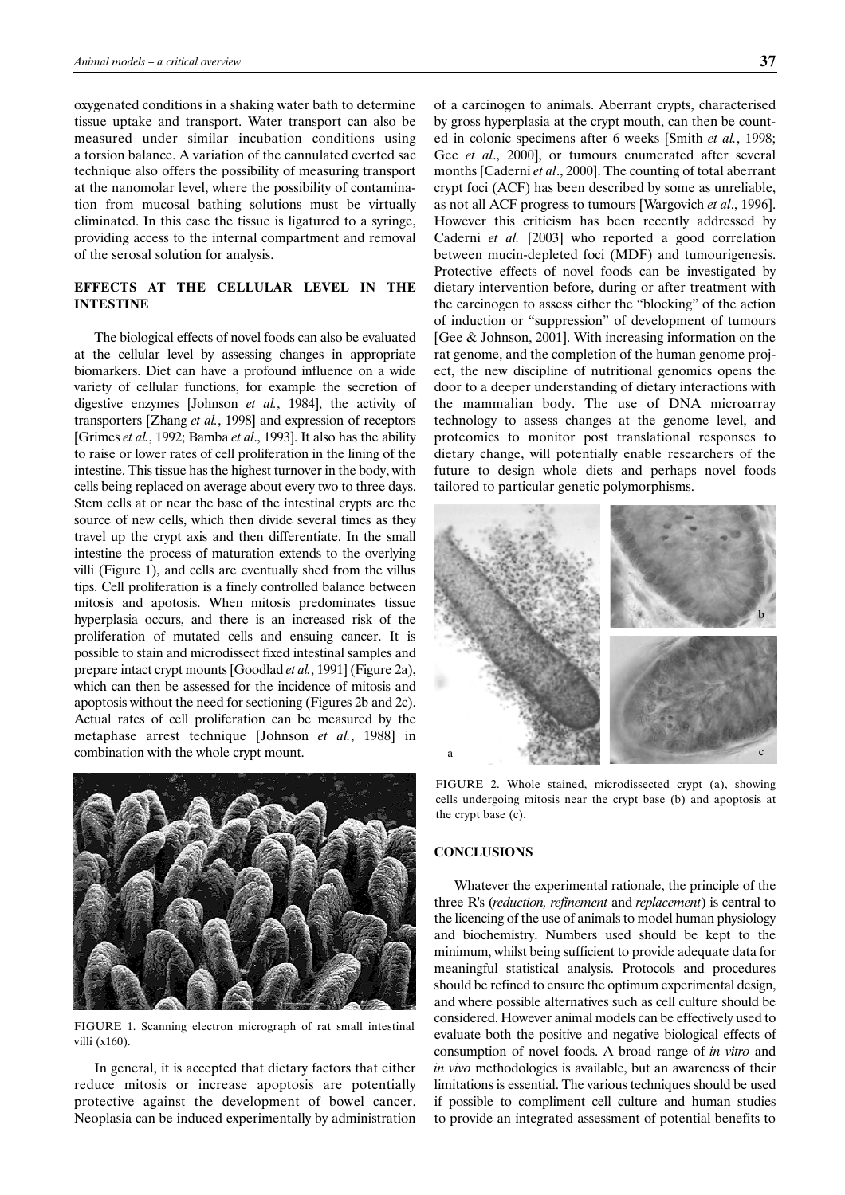oxygenated conditions in a shaking water bath to determine tissue uptake and transport. Water transport can also be measured under similar incubation conditions using a torsion balance. A variation of the cannulated everted sac technique also offers the possibility of measuring transport at the nanomolar level, where the possibility of contamination from mucosal bathing solutions must be virtually eliminated. In this case the tissue is ligatured to a syringe, providing access to the internal compartment and removal of the serosal solution for analysis.

## **EFFECTS AT THE CELLULAR LEVEL IN THE INTESTINE**

The biological effects of novel foods can also be evaluated at the cellular level by assessing changes in appropriate biomarkers. Diet can have a profound influence on a wide variety of cellular functions, for example the secretion of digestive enzymes [Johnson *et al.*, 1984], the activity of transporters [Zhang *et al.*, 1998] and expression of receptors [Grimes *et al.*, 1992; Bamba *et al*., 1993]. It also has the ability to raise or lower rates of cell proliferation in the lining of the intestine. This tissue has the highest turnover in the body, with cells being replaced on average about every two to three days. Stem cells at or near the base of the intestinal crypts are the source of new cells, which then divide several times as they travel up the crypt axis and then differentiate. In the small intestine the process of maturation extends to the overlying villi (Figure 1), and cells are eventually shed from the villus tips. Cell proliferation is a finely controlled balance between mitosis and apotosis. When mitosis predominates tissue hyperplasia occurs, and there is an increased risk of the proliferation of mutated cells and ensuing cancer. It is possible to stain and microdissect fixed intestinal samples and prepare intact crypt mounts [Goodlad *et al.*, 1991] (Figure 2a), which can then be assessed for the incidence of mitosis and apoptosis without the need for sectioning (Figures 2b and 2c). Actual rates of cell proliferation can be measured by the metaphase arrest technique [Johnson *et al.*, 1988] in combination with the whole crypt mount.



FIGURE 1. Scanning electron micrograph of rat small intestinal villi (x160).

In general, it is accepted that dietary factors that either reduce mitosis or increase apoptosis are potentially protective against the development of bowel cancer. Neoplasia can be induced experimentally by administration of a carcinogen to animals. Aberrant crypts, characterised by gross hyperplasia at the crypt mouth, can then be counted in colonic specimens after 6 weeks [Smith *et al.*, 1998; Gee *et al.*, 2000], or tumours enumerated after several months [Caderni *et al*., 2000]. The counting of total aberrant crypt foci (ACF) has been described by some as unreliable, as not all ACF progress to tumours [Wargovich *et al*., 1996]. However this criticism has been recently addressed by Caderni *et al.* [2003] who reported a good correlation between mucin-depleted foci (MDF) and tumourigenesis. Protective effects of novel foods can be investigated by dietary intervention before, during or after treatment with the carcinogen to assess either the "blocking" of the action of induction or "suppression" of development of tumours [Gee & Johnson, 2001]. With increasing information on the rat genome, and the completion of the human genome project, the new discipline of nutritional genomics opens the door to a deeper understanding of dietary interactions with the mammalian body. The use of DNA microarray technology to assess changes at the genome level, and proteomics to monitor post translational responses to dietary change, will potentially enable researchers of the future to design whole diets and perhaps novel foods tailored to particular genetic polymorphisms.



FIGURE 2. Whole stained, microdissected crypt (a), showing cells undergoing mitosis near the crypt base (b) and apoptosis at the crypt base (c).

### **CONCLUSIONS**

Whatever the experimental rationale, the principle of the three R's (*reduction, refinement* and *replacement*) is central to the licencing of the use of animals to model human physiology and biochemistry. Numbers used should be kept to the minimum, whilst being sufficient to provide adequate data for meaningful statistical analysis. Protocols and procedures should be refined to ensure the optimum experimental design, and where possible alternatives such as cell culture should be considered. However animal models can be effectively used to evaluate both the positive and negative biological effects of consumption of novel foods. A broad range of *in vitro* and *in vivo* methodologies is available, but an awareness of their limitations is essential. The various techniques should be used if possible to compliment cell culture and human studies to provide an integrated assessment of potential benefits to